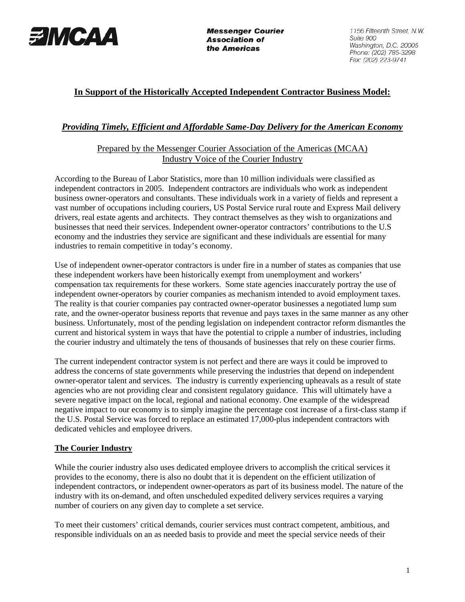

**Messenger Courier Association of** the Americas

1156 Fifteenth Street, N.W. Suite 900 Washington, D.C. 20005 Phone: (202) 785-3298 Fax: (202) 223-9741

# **In Support of the Historically Accepted Independent Contractor Business Model:**

## *Providing Timely, Efficient and Affordable Same-Day Delivery for the American Economy*

### Prepared by the Messenger Courier Association of the Americas (MCAA) Industry Voice of the Courier Industry

According to the Bureau of Labor Statistics, more than 10 million individuals were classified as independent contractors in 2005. Independent contractors are individuals who work as independent business owner-operators and consultants. These individuals work in a variety of fields and represent a vast number of occupations including couriers, US Postal Service rural route and Express Mail delivery drivers, real estate agents and architects. They contract themselves as they wish to organizations and businesses that need their services. Independent owner-operator contractors' contributions to the U.S economy and the industries they service are significant and these individuals are essential for many industries to remain competitive in today's economy.

Use of independent owner-operator contractors is under fire in a number of states as companies that use these independent workers have been historically exempt from unemployment and workers' compensation tax requirements for these workers. Some state agencies inaccurately portray the use of independent owner-operators by courier companies as mechanism intended to avoid employment taxes. The reality is that courier companies pay contracted owner-operator businesses a negotiated lump sum rate, and the owner-operator business reports that revenue and pays taxes in the same manner as any other business. Unfortunately, most of the pending legislation on independent contractor reform dismantles the current and historical system in ways that have the potential to cripple a number of industries, including the courier industry and ultimately the tens of thousands of businesses that rely on these courier firms.

The current independent contractor system is not perfect and there are ways it could be improved to address the concerns of state governments while preserving the industries that depend on independent owner-operator talent and services. The industry is currently experiencing upheavals as a result of state agencies who are not providing clear and consistent regulatory guidance. This will ultimately have a severe negative impact on the local, regional and national economy. One example of the widespread negative impact to our economy is to simply imagine the percentage cost increase of a first-class stamp if the U.S. Postal Service was forced to replace an estimated 17,000-plus independent contractors with dedicated vehicles and employee drivers.

### **The Courier Industry**

While the courier industry also uses dedicated employee drivers to accomplish the critical services it provides to the economy, there is also no doubt that it is dependent on the efficient utilization of independent contractors, or independent owner-operators as part of its business model. The nature of the industry with its on-demand, and often unscheduled expedited delivery services requires a varying number of couriers on any given day to complete a set service.

To meet their customers' critical demands, courier services must contract competent, ambitious, and responsible individuals on an as needed basis to provide and meet the special service needs of their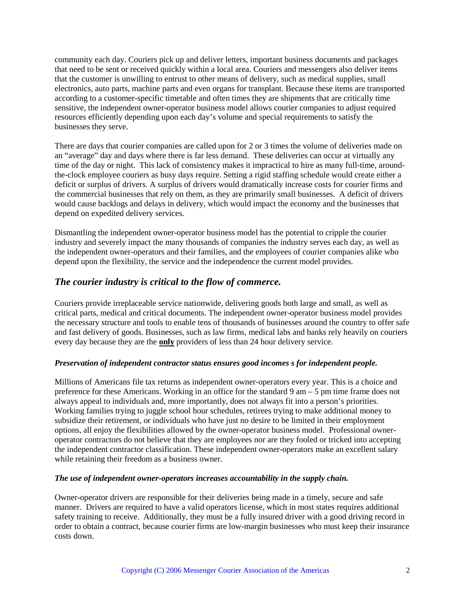community each day. Couriers pick up and deliver letters, important business documents and packages that need to be sent or received quickly within a local area. Couriers and messengers also deliver items that the customer is unwilling to entrust to other means of delivery, such as medical supplies, small electronics, auto parts, machine parts and even organs for transplant. Because these items are transported according to a customer-specific timetable and often times they are shipments that are critically time sensitive, the independent owner-operator business model allows courier companies to adjust required resources efficiently depending upon each day's volume and special requirements to satisfy the businesses they serve.

There are days that courier companies are called upon for 2 or 3 times the volume of deliveries made on an "average" day and days where there is far less demand. These deliveries can occur at virtually any time of the day or night. This lack of consistency makes it impractical to hire as many full-time, aroundthe-clock employee couriers as busy days require. Setting a rigid staffing schedule would create either a deficit or surplus of drivers. A surplus of drivers would dramatically increase costs for courier firms and the commercial businesses that rely on them, as they are primarily small businesses. A deficit of drivers would cause backlogs and delays in delivery, which would impact the economy and the businesses that depend on expedited delivery services.

Dismantling the independent owner-operator business model has the potential to cripple the courier industry and severely impact the many thousands of companies the industry serves each day, as well as the independent owner-operators and their families, and the employees of courier companies alike who depend upon the flexibility, the service and the independence the current model provides.

## *The courier industry is critical to the flow of commerce.*

Couriers provide irreplaceable service nationwide, delivering goods both large and small, as well as critical parts, medical and critical documents. The independent owner-operator business model provides the necessary structure and tools to enable tens of thousands of businesses around the country to offer safe and fast delivery of goods. Businesses, such as law firms, medical labs and banks rely heavily on couriers every day because they are the **only** providers of less than 24 hour delivery service.

### *Preservation of independent contractor status ensures good incomes s for independent people.*

Millions of Americans file tax returns as independent owner-operators every year. This is a choice and preference for these Americans. Working in an office for the standard 9 am – 5 pm time frame does not always appeal to individuals and, more importantly, does not always fit into a person's priorities. Working families trying to juggle school hour schedules, retirees trying to make additional money to subsidize their retirement, or individuals who have just no desire to be limited in their employment options, all enjoy the flexibilities allowed by the owner-operator business model. Professional owneroperator contractors do not believe that they are employees nor are they fooled or tricked into accepting the independent contractor classification. These independent owner-operators make an excellent salary while retaining their freedom as a business owner.

#### *The use of independent owner-operators increases accountability in the supply chain.*

Owner-operator drivers are responsible for their deliveries being made in a timely, secure and safe manner. Drivers are required to have a valid operators license, which in most states requires additional safety training to receive. Additionally, they must be a fully insured driver with a good driving record in order to obtain a contract, because courier firms are low-margin businesses who must keep their insurance costs down.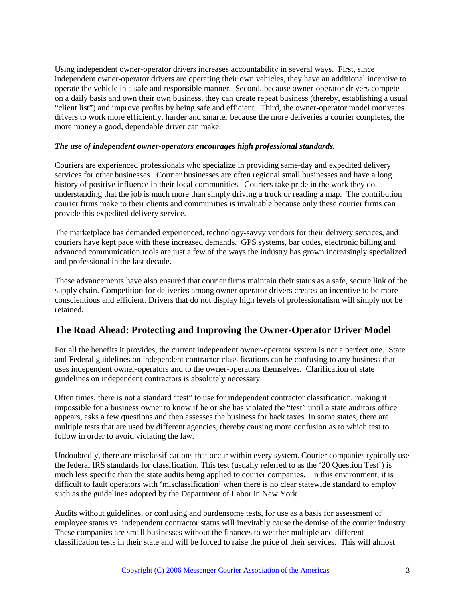Using independent owner-operator drivers increases accountability in several ways. First, since independent owner-operator drivers are operating their own vehicles, they have an additional incentive to operate the vehicle in a safe and responsible manner. Second, because owner-operator drivers compete on a daily basis and own their own business, they can create repeat business (thereby, establishing a usual "client list") and improve profits by being safe and efficient. Third, the owner-operator model motivates drivers to work more efficiently, harder and smarter because the more deliveries a courier completes, the more money a good, dependable driver can make.

#### *The use of independent owner-operators encourages high professional standards.*

Couriers are experienced professionals who specialize in providing same-day and expedited delivery services for other businesses. Courier businesses are often regional small businesses and have a long history of positive influence in their local communities. Couriers take pride in the work they do, understanding that the job is much more than simply driving a truck or reading a map. The contribution courier firms make to their clients and communities is invaluable because only these courier firms can provide this expedited delivery service.

The marketplace has demanded experienced, technology-savvy vendors for their delivery services, and couriers have kept pace with these increased demands. GPS systems, bar codes, electronic billing and advanced communication tools are just a few of the ways the industry has grown increasingly specialized and professional in the last decade.

These advancements have also ensured that courier firms maintain their status as a safe, secure link of the supply chain. Competition for deliveries among owner operator drivers creates an incentive to be more conscientious and efficient. Drivers that do not display high levels of professionalism will simply not be retained.

## **The Road Ahead: Protecting and Improving the Owner-Operator Driver Model**

For all the benefits it provides, the current independent owner-operator system is not a perfect one. State and Federal guidelines on independent contractor classifications can be confusing to any business that uses independent owner-operators and to the owner-operators themselves. Clarification of state guidelines on independent contractors is absolutely necessary.

Often times, there is not a standard "test" to use for independent contractor classification, making it impossible for a business owner to know if he or she has violated the "test" until a state auditors office appears, asks a few questions and then assesses the business for back taxes. In some states, there are multiple tests that are used by different agencies, thereby causing more confusion as to which test to follow in order to avoid violating the law.

Undoubtedly, there are misclassifications that occur within every system. Courier companies typically use the federal IRS standards for classification. This test (usually referred to as the '20 Question Test') is much less specific than the state audits being applied to courier companies. In this environment, it is difficult to fault operators with 'misclassification' when there is no clear statewide standard to employ such as the guidelines adopted by the Department of Labor in New York.

Audits without guidelines, or confusing and burdensome tests, for use as a basis for assessment of employee status vs. independent contractor status will inevitably cause the demise of the courier industry. These companies are small businesses without the finances to weather multiple and different classification tests in their state and will be forced to raise the price of their services. This will almost